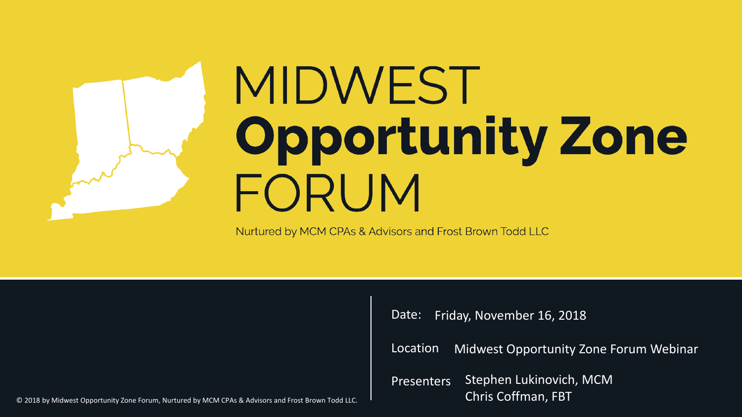# MIDWEST **Opportunity Zone** FORUM

Nurtured by MCM CPAs & Advisors and Frost Brown Todd LLC

Date: Friday, November 16, 2018

Location Midwest Opportunity Zone Forum Webinar

**Presenters** Stephen Lukinovich, MCM Chris Coffman, FBT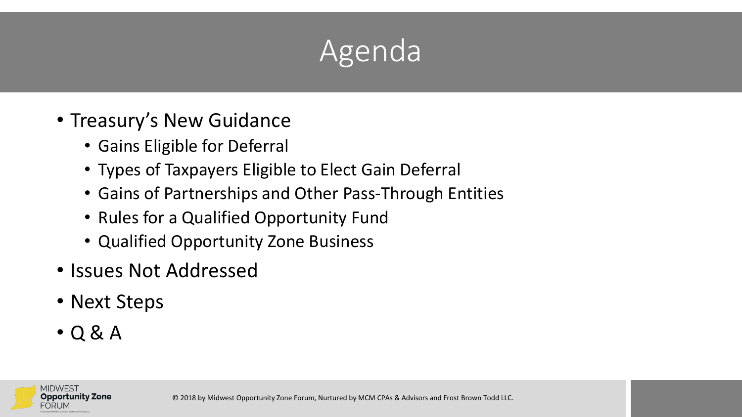### Agenda

- Treasury's New Guidance
	- Gains Eligible for Deferral
	- Types of Taxpayers Eligible to Elect Gain Deferral
	- Gains of Partnerships and Other Pass-Through Entities
	- Rules for a Qualified Opportunity Fund
	- Qualified Opportunity Zone Business
- Issues Not Addressed
- Next Steps
- $\cdot$  Q & A

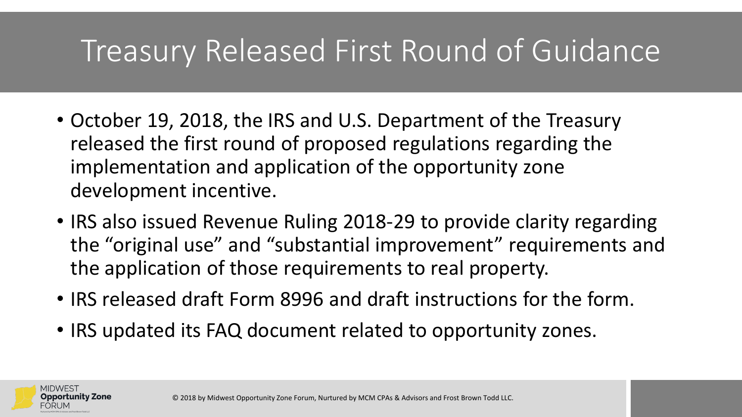### Treasury Released First Round of Guidance

- October 19, 2018, the IRS and U.S. Department of the Treasury released the first round of proposed regulations regarding the implementation and application of the opportunity zone development incentive.
- IRS also issued Revenue Ruling 2018-29 to provide clarity regarding the "original use" and "substantial improvement" requirements and the application of those requirements to real property.
- IRS released draft Form 8996 and draft instructions for the form.
- IRS updated its FAQ document related to opportunity zones.

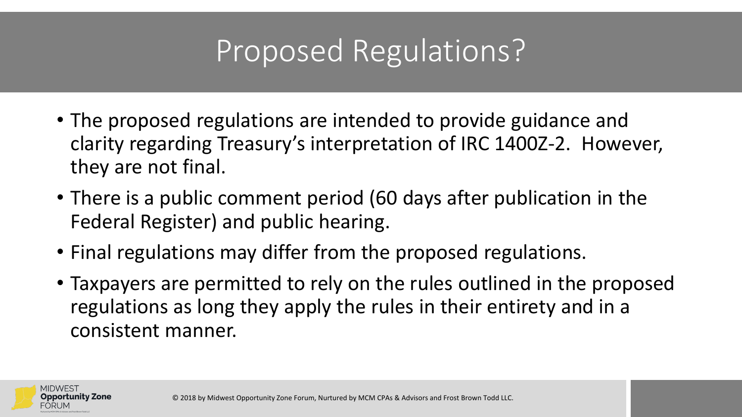### Proposed Regulations?

- The proposed regulations are intended to provide guidance and clarity regarding Treasury's interpretation of IRC 1400Z-2. However, they are not final.
- There is a public comment period (60 days after publication in the Federal Register) and public hearing.
- Final regulations may differ from the proposed regulations.
- Taxpayers are permitted to rely on the rules outlined in the proposed regulations as long they apply the rules in their entirety and in a consistent manner.

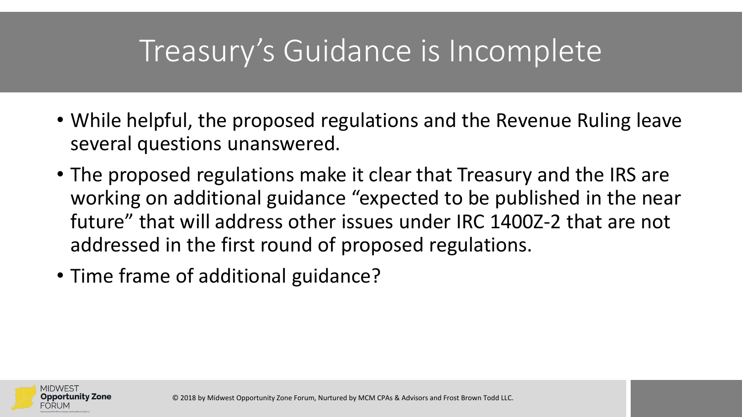### Treasury's Guidance is Incomplete

- While helpful, the proposed regulations and the Revenue Ruling leave several questions unanswered.
- The proposed regulations make it clear that Treasury and the IRS are working on additional guidance "expected to be published in the near future" that will address other issues under IRC 1400Z-2 that are not addressed in the first round of proposed regulations.
- Time frame of additional guidance?

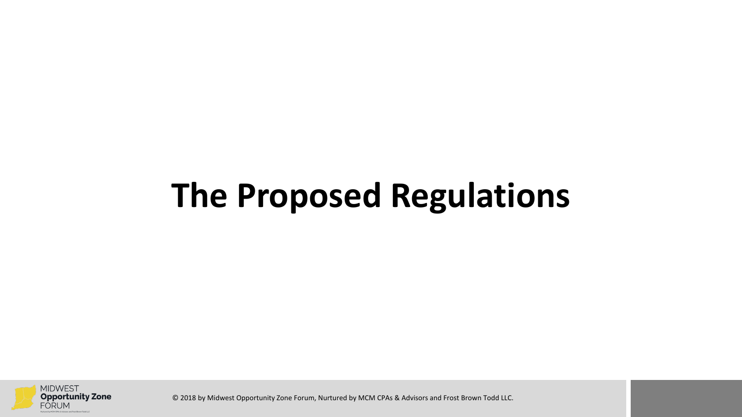## **The Proposed Regulations**

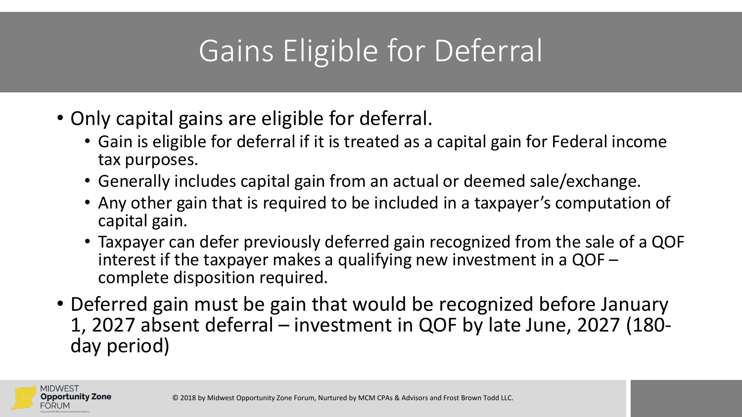### Gains Eligible for Deferral

- Only capital gains are eligible for deferral.
	- Gain is eligible for deferral if it is treated as a capital gain for Federal income tax purposes.
	- Generally includes capital gain from an actual or deemed sale/exchange.
	- Any other gain that is required to be included in a taxpayer's computation of capital gain.
	- Taxpayer can defer previously deferred gain recognized from the sale of a QOF interest if the taxpayer makes a qualifying new investment in a QOF – complete disposition required.
- Deferred gain must be gain that would be recognized before January 1, 2027 absent deferral – investment in QOF by late June, 2027 (180- day period)

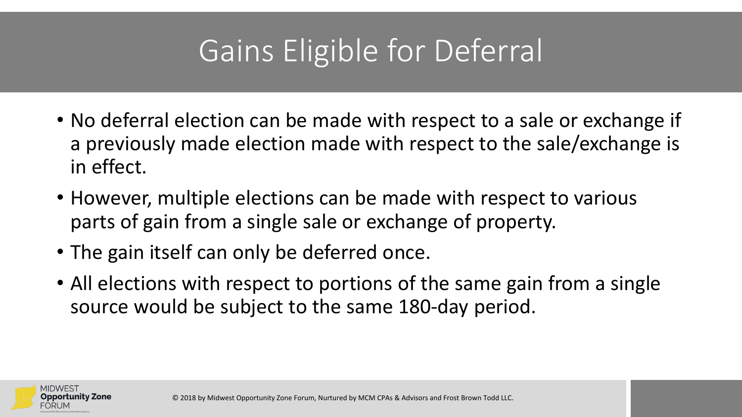### Gains Eligible for Deferral

- No deferral election can be made with respect to a sale or exchange if a previously made election made with respect to the sale/exchange is in effect.
- However, multiple elections can be made with respect to various parts of gain from a single sale or exchange of property.
- The gain itself can only be deferred once.
- All elections with respect to portions of the same gain from a single source would be subject to the same 180-day period.

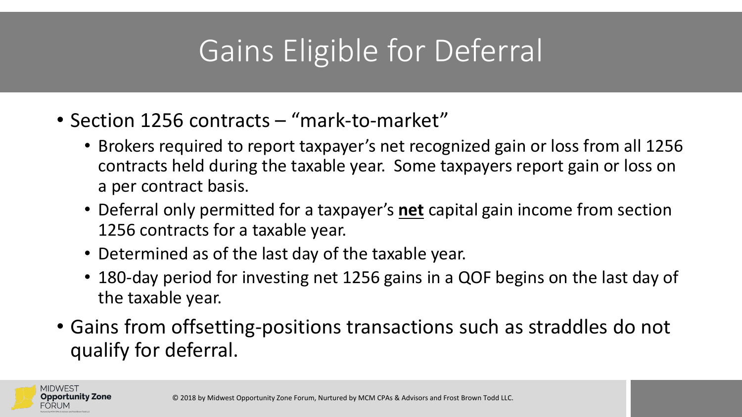### Gains Eligible for Deferral

- Section 1256 contracts "mark-to-market"
	- Brokers required to report taxpayer's net recognized gain or loss from all 1256 contracts held during the taxable year. Some taxpayers report gain or loss on a per contract basis.
	- Deferral only permitted for a taxpayer's **net** capital gain income from section 1256 contracts for a taxable year.
	- Determined as of the last day of the taxable year.
	- 180-day period for investing net 1256 gains in a QOF begins on the last day of the taxable year.
- Gains from offsetting-positions transactions such as straddles do not qualify for deferral.

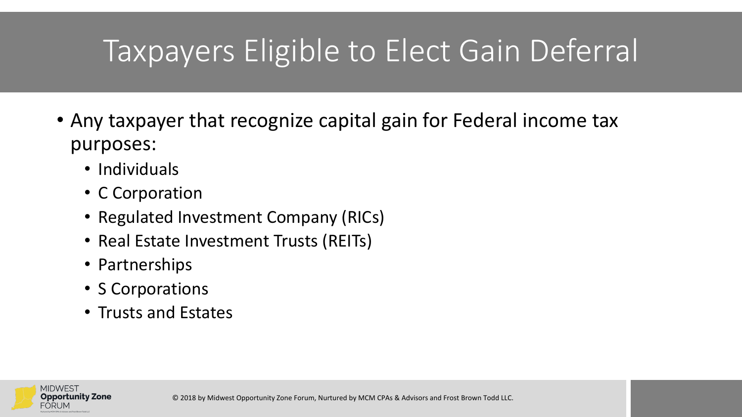### Taxpayers Eligible to Elect Gain Deferral

- Any taxpayer that recognize capital gain for Federal income tax purposes:
	- Individuals
	- C Corporation
	- Regulated Investment Company (RICs)
	- Real Estate Investment Trusts (REITs)
	- Partnerships
	- S Corporations
	- Trusts and Estates

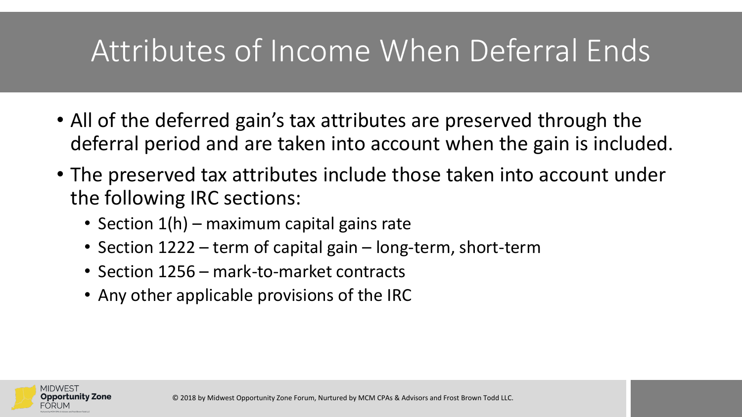### Attributes of Income When Deferral Ends

- All of the deferred gain's tax attributes are preserved through the deferral period and are taken into account when the gain is included.
- The preserved tax attributes include those taken into account under the following IRC sections:
	- Section 1(h) maximum capital gains rate
	- Section 1222 term of capital gain long-term, short-term
	- Section 1256 mark-to-market contracts
	- Any other applicable provisions of the IRC

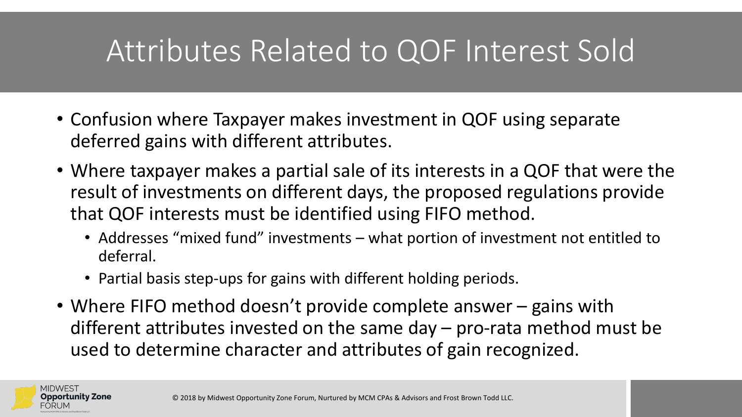### Attributes Related to QOF Interest Sold

- Confusion where Taxpayer makes investment in QOF using separate deferred gains with different attributes.
- Where taxpayer makes a partial sale of its interests in a QOF that were the result of investments on different days, the proposed regulations provide that QOF interests must be identified using FIFO method.
	- Addresses "mixed fund" investments what portion of investment not entitled to deferral.
	- Partial basis step-ups for gains with different holding periods.
- Where FIFO method doesn't provide complete answer gains with different attributes invested on the same day – pro-rata method must be used to determine character and attributes of gain recognized.

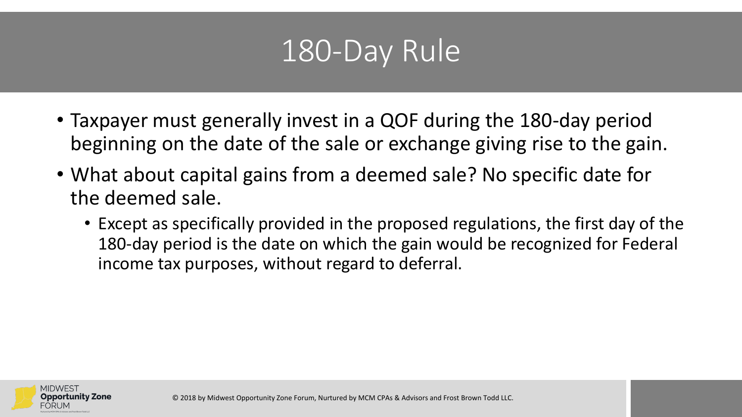### 180-Day Rule

- Taxpayer must generally invest in a QOF during the 180-day period beginning on the date of the sale or exchange giving rise to the gain.
- What about capital gains from a deemed sale? No specific date for the deemed sale.
	- Except as specifically provided in the proposed regulations, the first day of the 180-day period is the date on which the gain would be recognized for Federal income tax purposes, without regard to deferral.

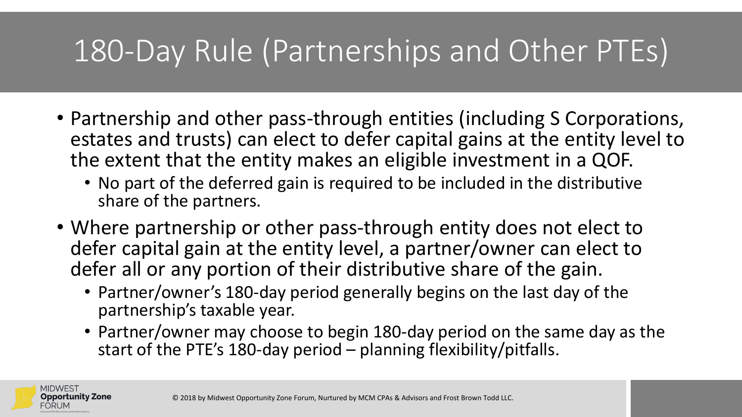### 180-Day Rule (Partnerships and Other PTEs)

- Partnership and other pass-through entities (including S Corporations, estates and trusts) can elect to defer capital gains at the entity level to the extent that the entity makes an eligible investment in a QOF.
	- No part of the deferred gain is required to be included in the distributive share of the partners.
- Where partnership or other pass-through entity does not elect to defer capital gain at the entity level, a partner/owner can elect to defer all or any portion of their distributive share of the gain.
	- Partner/owner's 180-day period generally begins on the last day of the partnership's taxable year.
	- Partner/owner may choose to begin 180-day period on the same day as the start of the PTE's 180-day period – planning flexibility/pitfalls.

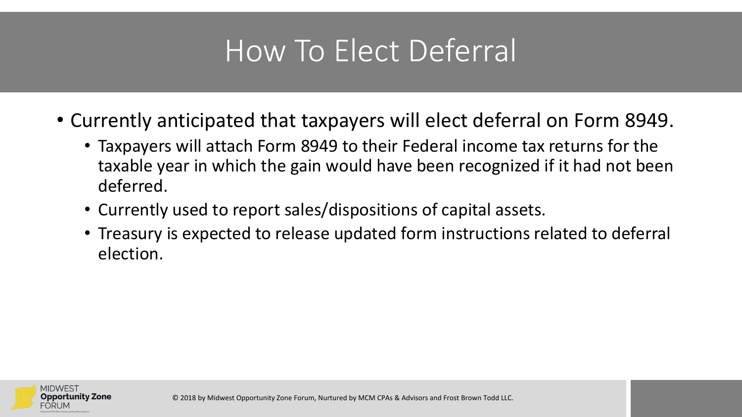### How To Elect Deferral

- Currently anticipated that taxpayers will elect deferral on Form 8949.
	- Taxpayers will attach Form 8949 to their Federal income tax returns for the taxable year in which the gain would have been recognized if it had not been deferred.
	- Currently used to report sales/dispositions of capital assets.
	- Treasury is expected to release updated form instructions related to deferral election.

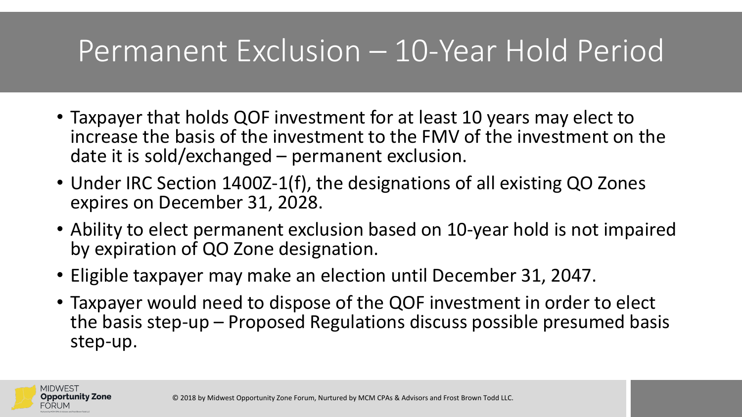### Permanent Exclusion – 10-Year Hold Period

- Taxpayer that holds QOF investment for at least 10 years may elect to increase the basis of the investment to the FMV of the investment on the date it is sold/exchanged – permanent exclusion.
- Under IRC Section 1400Z-1(f), the designations of all existing QO Zones expires on December 31, 2028.
- Ability to elect permanent exclusion based on 10-year hold is not impaired by expiration of QO Zone designation.
- Eligible taxpayer may make an election until December 31, 2047.
- Taxpayer would need to dispose of the QOF investment in order to elect the basis step-up – Proposed Regulations discuss possible presumed basis step-up.

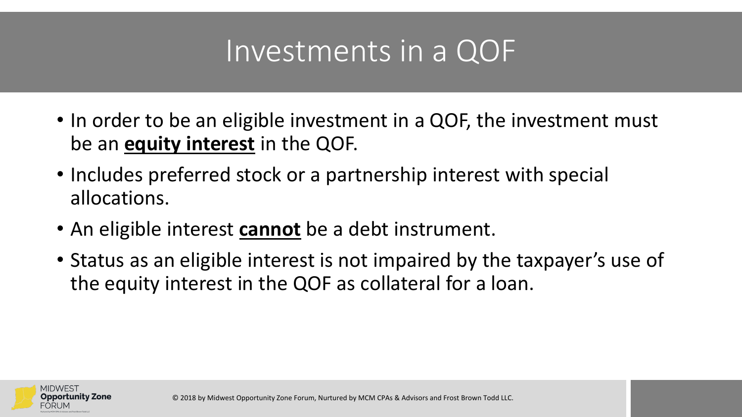### Investments in a QOF

- In order to be an eligible investment in a QOF, the investment must be an **equity interest** in the QOF.
- Includes preferred stock or a partnership interest with special allocations.
- An eligible interest **cannot** be a debt instrument.
- Status as an eligible interest is not impaired by the taxpayer's use of the equity interest in the QOF as collateral for a loan.

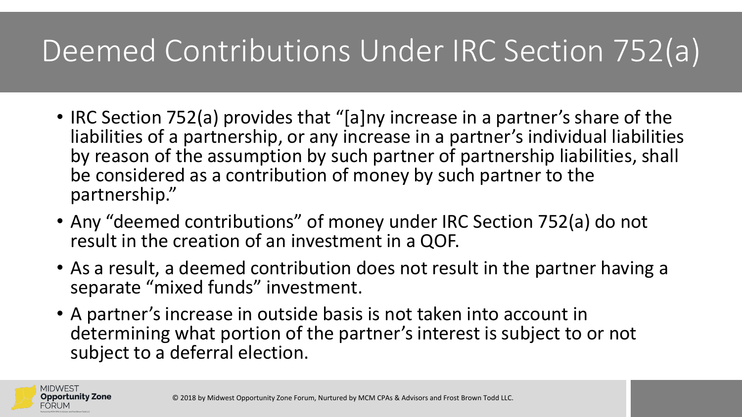### Deemed Contributions Under IRC Section 752(a)

- IRC Section 752(a) provides that "[a]ny increase in a partner's share of the liabilities of a partnership, or any increase in a partner's individual liabilities by reason of the assumption by such partner of partnership liabilities, shall be considered as a contribution of money by such partner to the partnership."
- Any "deemed contributions" of money under IRC Section 752(a) do not result in the creation of an investment in a QOF.
- As a result, a deemed contribution does not result in the partner having a separate "mixed funds" investment.
- A partner's increase in outside basis is not taken into account in determining what portion of the partner's interest is subject to or not subject to a deferral election.

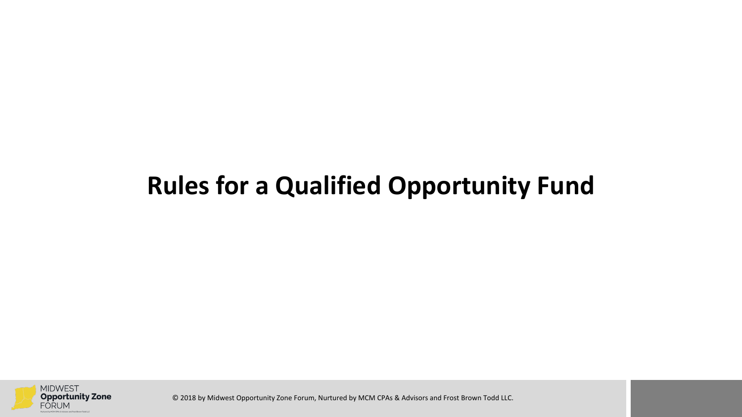### **Rules for a Qualified Opportunity Fund**

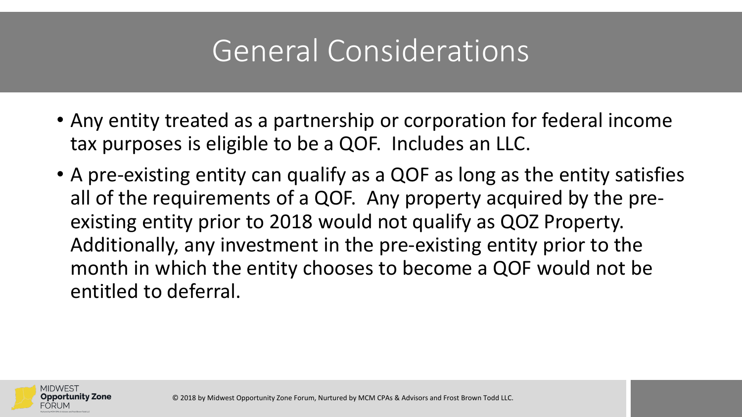### General Considerations

- Any entity treated as a partnership or corporation for federal income tax purposes is eligible to be a QOF. Includes an LLC.
- A pre-existing entity can qualify as a QOF as long as the entity satisfies all of the requirements of a QOF. Any property acquired by the preexisting entity prior to 2018 would not qualify as QOZ Property. Additionally, any investment in the pre-existing entity prior to the month in which the entity chooses to become a QOF would not be entitled to deferral.

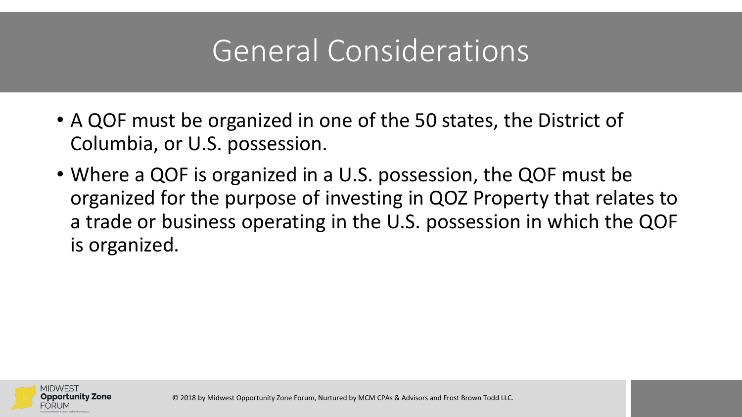### General Considerations

- A QOF must be organized in one of the 50 states, the District of Columbia, or U.S. possession.
- Where a QOF is organized in a U.S. possession, the QOF must be organized for the purpose of investing in QOZ Property that relates to a trade or business operating in the U.S. possession in which the QOF is organized.

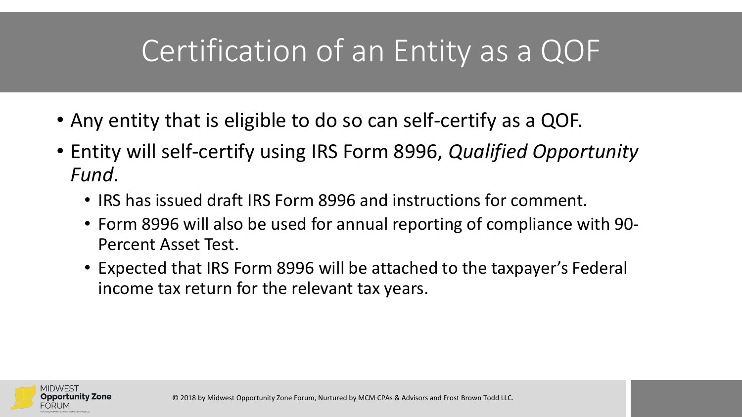### Certification of an Entity as a QOF

- Any entity that is eligible to do so can self-certify as a QOF.
- Entity will self-certify using IRS Form 8996, *Qualified Opportunity Fund*.
	- IRS has issued draft IRS Form 8996 and instructions for comment.
	- Form 8996 will also be used for annual reporting of compliance with 90- Percent Asset Test.
	- Expected that IRS Form 8996 will be attached to the taxpayer's Federal income tax return for the relevant tax years.

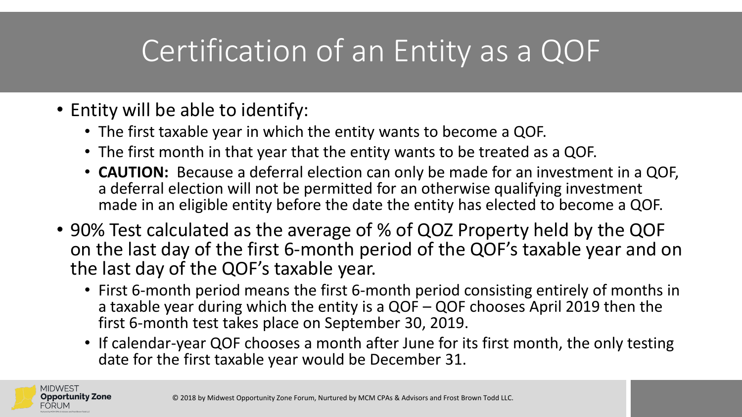### Certification of an Entity as a QOF

- Entity will be able to identify:
	- The first taxable year in which the entity wants to become a QOF.
	- The first month in that year that the entity wants to be treated as a QOF.
	- **CAUTION:** Because a deferral election can only be made for an investment in a QOF, a deferral election will not be permitted for an otherwise qualifying investment made in an eligible entity before the date the entity has elected to become a QOF.
- 90% Test calculated as the average of % of QOZ Property held by the QOF on the last day of the first 6-month period of the QOF's taxable year and on the last day of the QOF's taxable year.
	- First 6-month period means the first 6-month period consisting entirely of months in a taxable year during which the entity is a QOF – QOF chooses April 2019 then the first 6-month test takes place on September 30, 2019.
	- If calendar-year QOF chooses a month after June for its first month, the only testing date for the first taxable year would be December 31.

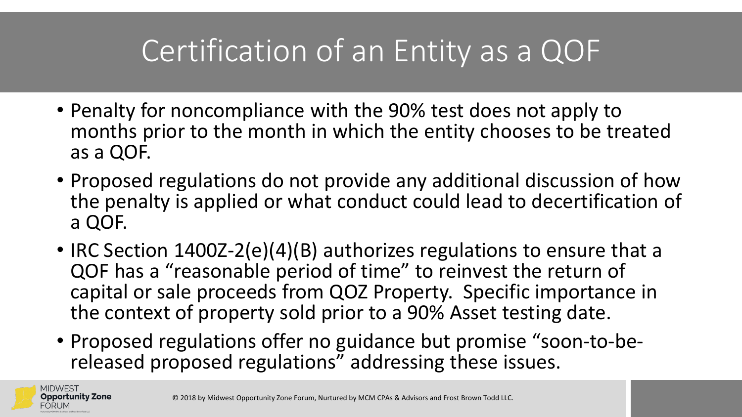### Certification of an Entity as a QOF

- Penalty for noncompliance with the 90% test does not apply to months prior to the month in which the entity chooses to be treated as a QOF.
- Proposed regulations do not provide any additional discussion of how the penalty is applied or what conduct could lead to decertification of a QOF.
- IRC Section 1400Z-2(e)(4)(B) authorizes regulations to ensure that a QOF has a "reasonable period of time" to reinvest the return of capital or sale proceeds from QOZ Property. Specific importance in the context of property sold prior to a 90% Asset testing date.
- Proposed regulations offer no guidance but promise "soon-to-be- released proposed regulations" addressing these issues.

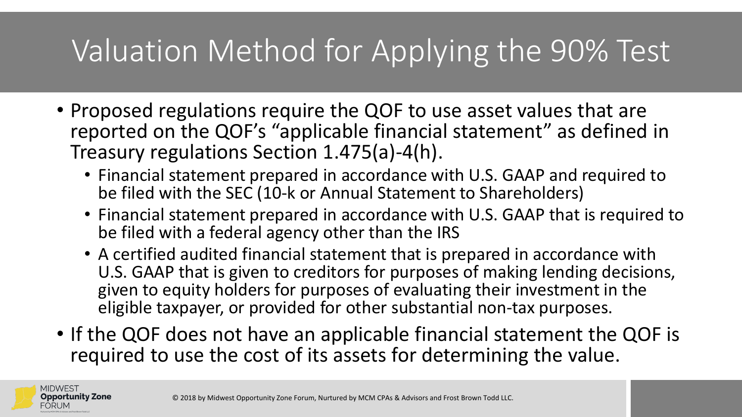### Valuation Method for Applying the 90% Test

- Proposed regulations require the QOF to use asset values that are reported on the QOF's "applicable financial statement" as defined in Treasury regulations Section 1.475(a)-4(h).
	- Financial statement prepared in accordance with U.S. GAAP and required to be filed with the SEC (10-k or Annual Statement to Shareholders)
	- Financial statement prepared in accordance with U.S. GAAP that is required to be filed with a federal agency other than the IRS
	- A certified audited financial statement that is prepared in accordance with U.S. GAAP that is given to creditors for purposes of making lending decisions, given to equity holders for purposes of evaluating their investment in the eligible taxpayer, or provided for other substantial non-tax purposes.
- If the QOF does not have an applicable financial statement the QOF is required to use the cost of its assets for determining the value.

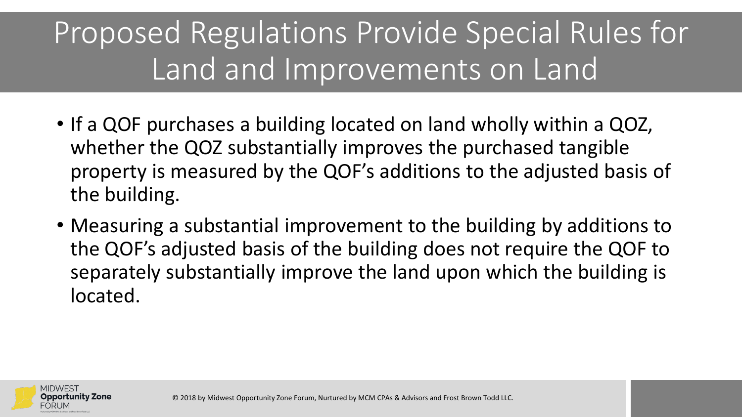### Proposed Regulations Provide Special Rules for Land and Improvements on Land

- If a QOF purchases a building located on land wholly within a QOZ, whether the QOZ substantially improves the purchased tangible property is measured by the QOF's additions to the adjusted basis of the building.
- Measuring a substantial improvement to the building by additions to the QOF's adjusted basis of the building does not require the QOF to separately substantially improve the land upon which the building is located.

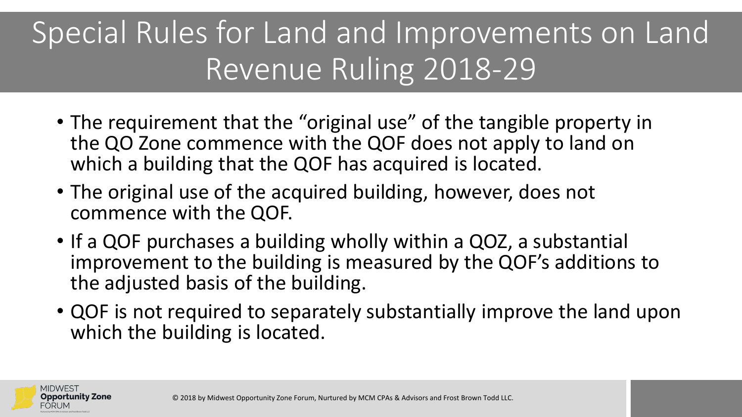### Special Rules for Land and Improvements on Land Revenue Ruling 2018-29

- The requirement that the "original use" of the tangible property in the QO Zone commence with the QOF does not apply to land on which a building that the QOF has acquired is located.
- The original use of the acquired building, however, does not commence with the QOF.
- If a QOF purchases a building wholly within a QOZ, a substantial improvement to the building is measured by the QOF's additions to the adjusted basis of the building.
- QOF is not required to separately substantially improve the land upon which the building is located.

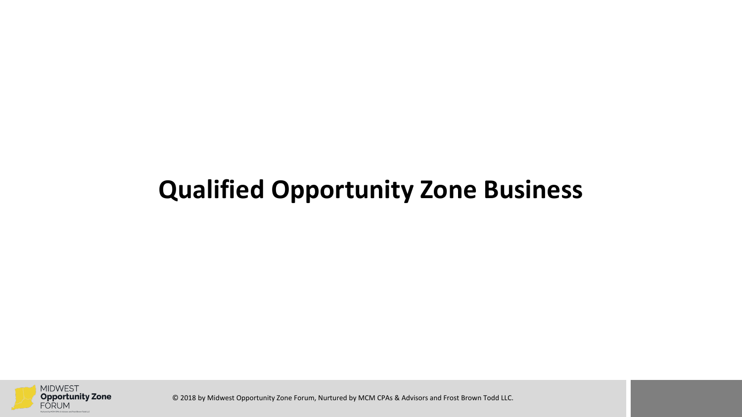#### **Qualified Opportunity Zone Business**

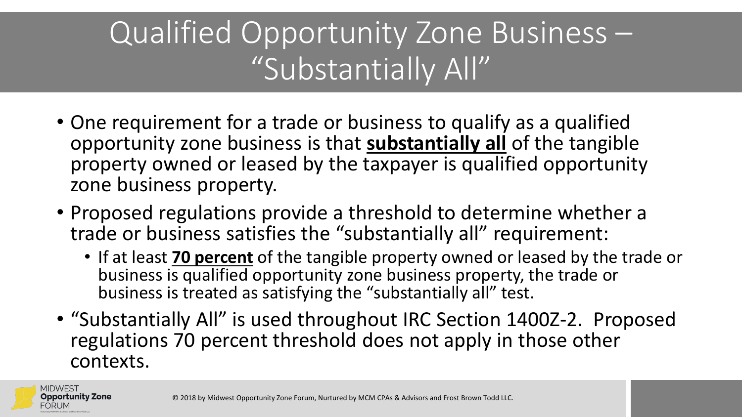### Qualified Opportunity Zone Business – "Substantially All"

- One requirement for a trade or business to qualify as a qualified opportunity zone business is that **substantially all** of the tangible property owned or leased by the taxpayer is qualified opportunity zone business property.
- Proposed regulations provide a threshold to determine whether a trade or business satisfies the "substantially all" requirement:
	- If at least **70 percent** of the tangible property owned or leased by the trade or business is qualified opportunity zone business property, the trade or business is treated as satisfying the "substantially all" test.
- "Substantially All" is used throughout IRC Section 1400Z-2. Proposed regulations 70 percent threshold does not apply in those other contexts.

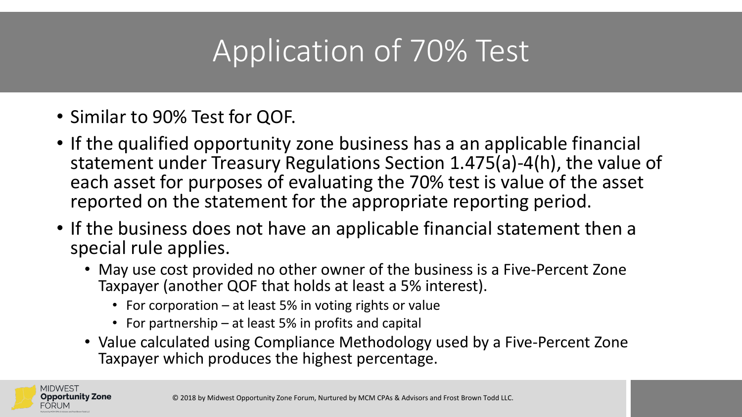### Application of 70% Test

- Similar to 90% Test for QOF.
- If the qualified opportunity zone business has a an applicable financial statement under Treasury Regulations Section 1.475(a)-4(h), the value of each asset for purposes of evaluating the 70% test is value of the asset reported on the statement for the appropriate reporting period.
- If the business does not have an applicable financial statement then a special rule applies.
	- May use cost provided no other owner of the business is a Five-Percent Zone Taxpayer (another QOF that holds at least a 5% interest).
		- For corporation at least 5% in voting rights or value
		- For partnership at least 5% in profits and capital
	- Value calculated using Compliance Methodology used by a Five-Percent Zone Taxpayer which produces the highest percentage.

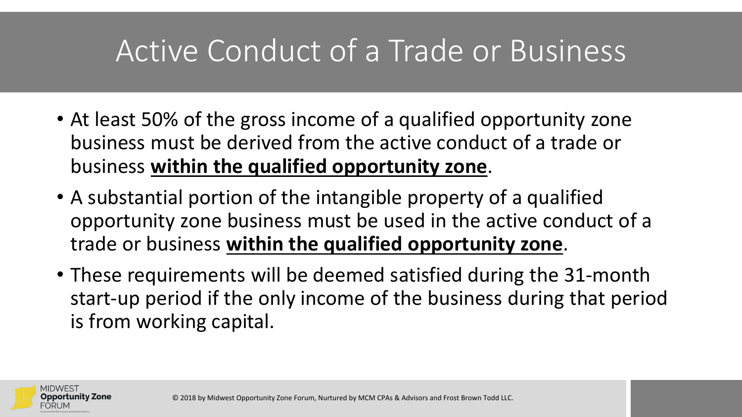### Active Conduct of a Trade or Business

- At least 50% of the gross income of a qualified opportunity zone business must be derived from the active conduct of a trade or business **within the qualified opportunity zone**.
- A substantial portion of the intangible property of a qualified opportunity zone business must be used in the active conduct of a trade or business **within the qualified opportunity zone**.
- These requirements will be deemed satisfied during the 31-month start-up period if the only income of the business during that period is from working capital.

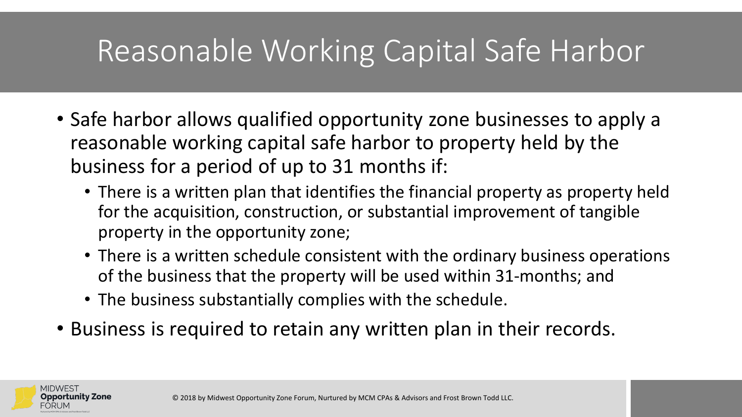### Reasonable Working Capital Safe Harbor

- Safe harbor allows qualified opportunity zone businesses to apply a reasonable working capital safe harbor to property held by the business for a period of up to 31 months if:
	- There is a written plan that identifies the financial property as property held for the acquisition, construction, or substantial improvement of tangible property in the opportunity zone;
	- There is a written schedule consistent with the ordinary business operations of the business that the property will be used within 31-months; and
	- The business substantially complies with the schedule.
- Business is required to retain any written plan in their records.

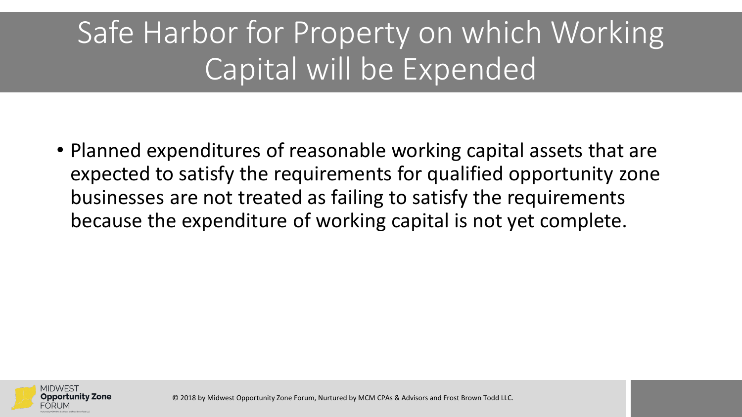### Safe Harbor for Property on which Working Capital will be Expended

• Planned expenditures of reasonable working capital assets that are expected to satisfy the requirements for qualified opportunity zone businesses are not treated as failing to satisfy the requirements because the expenditure of working capital is not yet complete.

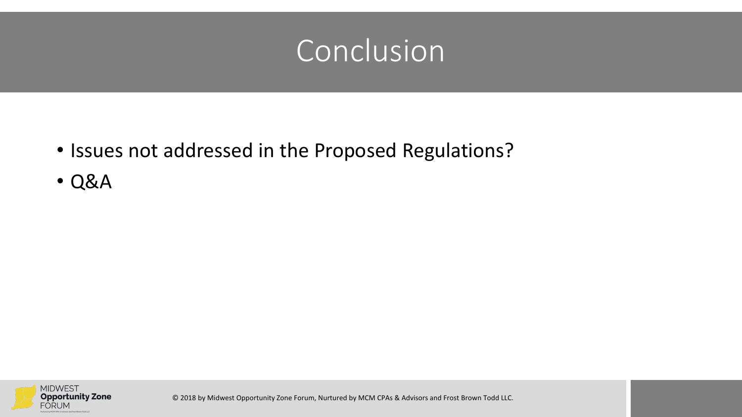### Conclusion

- Issues not addressed in the Proposed Regulations?
- Q&A